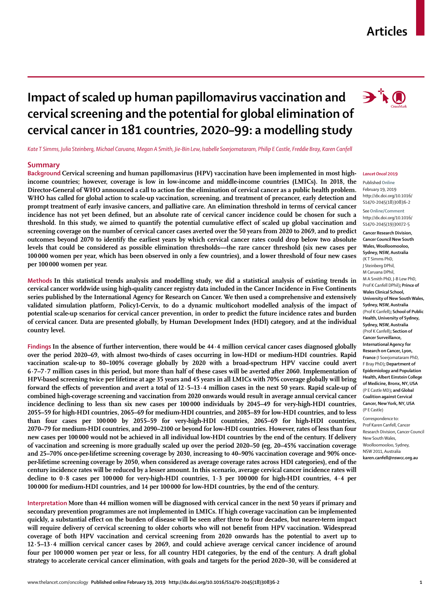## **Articles**

# **Impact of scaled up human papillomavirus vaccination and cervical screening and the potential for global elimination of cervical cancer in 181 countries, 2020–99: a modelling study**

*Kate T Simms, Julia Steinberg, Michael Caruana, Megan A Smith, Jie-Bin Lew, Isabelle Soerjomataram, Philip E Castle, Freddie Bray, Karen Canfell*

## **Summary**

**Background Cervical screening and human papillomavirus (HPV) vaccination have been implemented in most highincome countries; however, coverage is low in low-income and middle-income countries (LMICs). In 2018, the Director-General of WHO announced a call to action for the elimination of cervical cancer as a public health problem. WHO has called for global action to scale-up vaccination, screening, and treatment of precancer, early detection and prompt treatment of early invasive cancers, and palliative care. An elimination threshold in terms of cervical cancer incidence has not yet been defined, but an absolute rate of cervical cancer incidence could be chosen for such a threshold. In this study, we aimed to quantify the potential cumulative effect of scaled up global vaccination and screening coverage on the number of cervical cancer cases averted over the 50 years from 2020 to 2069, and to predict outcomes beyond 2070 to identify the earliest years by which cervical cancer rates could drop below two absolute levels that could be considered as possible elimination thresholds—the rare cancer threshold (six new cases per 100000 women per year, which has been observed in only a few countries), and a lower threshold of four new cases per 100 000 women per year.**

**Methods In this statistical trends analysis and modelling study, we did a statistical analysis of existing trends in cervical cancer worldwide using high-quality cancer registry data included in the Cancer Incidence in Five Continents series published by the International Agency for Research on Cancer. We then used a comprehensive and extensively validated simulation platform, Policy1-Cervix, to do a dynamic multicohort modelled analysis of the impact of potential scale-up scenarios for cervical cancer prevention, in order to predict the future incidence rates and burden of cervical cancer. Data are presented globally, by Human Development Index (HDI) category, and at the individual country level.**

**Findings In the absence of further intervention, there would be 44·4 million cervical cancer cases diagnosed globally over the period 2020–69, with almost two-thirds of cases occurring in low-HDI or medium-HDI countries. Rapid vaccination scale-up to 80–100% coverage globally by 2020 with a broad-spectrum HPV vaccine could avert 6·7–7·7 million cases in this period, but more than half of these cases will be averted after 2060. Implementation of HPV-based screening twice per lifetime at age 35 years and 45 years in all LMICs with 70% coverage globally will bring forward the effects of prevention and avert a total of 12·5–13·4 million cases in the next 50 years. Rapid scale-up of combined high-coverage screening and vaccination from 2020 onwards would result in average annual cervical cancer incidence declining to less than six new cases per 100000 individuals by 2045–49 for very-high-HDI countries, 2055–59 for high-HDI countries, 2065–69 for medium-HDI countries, and 2085–89 for low-HDI countries, and to less than four cases per 100000 by 2055–59 for very-high-HDI countries, 2065–69 for high-HDI countries, 2070–79 for medium-HDI countries, and 2090–2100 or beyond for low-HDI countries. However, rates of less than four new cases per 100000 would not be achieved in all individual low-HDI countries by the end of the century. If delivery of vaccination and screening is more gradually scaled up over the period 2020–50 (eg, 20–45% vaccination coverage and 25–70% once-per-lifetime screening coverage by 2030, increasing to 40–90% vaccination coverage and 90% onceper-lifetime screening coverage by 2050, when considered as average coverage rates across HDI categories), end of the century incidence rates will be reduced by a lesser amount. In this scenario, average cervical cancer incidence rates will decline to 0·8 cases per 100000 for very-high-HDI countries, 1·3 per 100000 for high-HDI countries, 4·4 per 100000 for medium-HDI countries, and 14 per 100000 for low-HDI countries, by the end of the century.**

**Interpretation More than 44 million women will be diagnosed with cervical cancer in the next 50 years if primary and secondary prevention programmes are not implemented in LMICs. If high coverage vaccination can be implemented quickly, a substantial effect on the burden of disease will be seen after three to four decades, but nearer-term impact will require delivery of cervical screening to older cohorts who will not benefit from HPV vaccination. Widespread coverage of both HPV vaccination and cervical screening from 2020 onwards has the potential to avert up to 12·5–13·4 million cervical cancer cases by 2069, and could achieve average cervical cancer incidence of around four per 100000 women per year or less, for all country HDI categories, by the end of the century. A draft global strategy to accelerate cervical cancer elimination, with goals and targets for the period 2020–30, will be considered at** 

#### *Lancet Oncol* **2019**

#### Published **Online** February 19, 2019 http://dx.doi.org/10.1016/ S1470-2045(18)30836-2

See**Online/Comment** http://dx.doi.org/10.1016/ S1470-2045(19)30072-5

**Cancer Research Division, Cancer Council New South Wales, Woolloomooloo, Sydney, NSW, Australia**  (K T Simms PhD, J Steinberg DPhil, M Caruana DPhil, M A Smith PhD, J-B Lew PhD, Prof K Canfell DPhil)**; Prince of Wales Clinical School, University of New South Wales, Sydney, NSW, Australia**  (Prof K Canfell)**; School of Public Health, University of Sydney, Sydney, NSW, Australia**  (Prof K Canfell)**; Section of Cancer Surveillance, International Agency for Research on Cancer, Lyon, France** (I Soerjomataram PhD, F Bray PhD)**; Department of Epidemiology and Population Health, Albert Einstein College of Medicine, Bronx, NY, USA**  (P E Castle MD)**; and Global Coalition against Cervical Cancer, New York, NY, USA**  (P E Castle)

Correspondence to: Prof Karen Canfell, Cancer Research Division, Cancer Council New South Wales, Woolloomooloo, Sydney, NSW 2011, Australia **karen.canfell@nswcc.org.au**

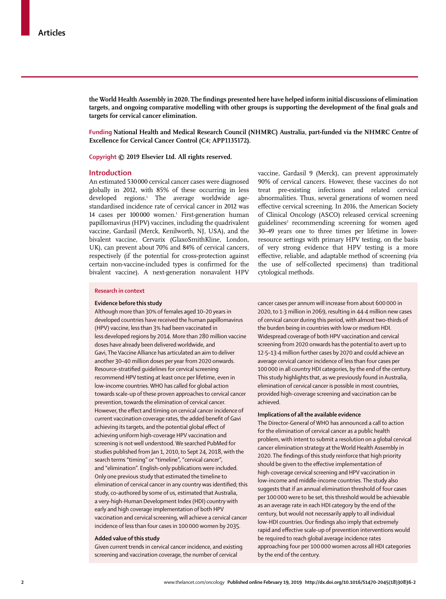**the World Health Assembly in 2020. The findings presented here have helped inform initial discussions of elimination targets, and ongoing comparative modelling with other groups is supporting the development of the final goals and targets for cervical cancer elimination.**

**Funding National Health and Medical Research Council (NHMRC) Australia, part-funded via the NHMRC Centre of Excellence for Cervical Cancer Control (C4; APP1135172).**

**Copyright © 2019 Elsevier Ltd. All rights reserved.**

## **Introduction**

An estimated 530000 cervical cancer cases were diagnosed globally in 2012, with 85% of these occurring in less developed regions.1 The average worldwide agestandardised incidence rate of cervical cancer in 2012 was 14 cases per 100 000 women.<sup>1</sup> First-generation human papillomavirus (HPV) vaccines, including the quadrivalent vaccine, Gardasil (Merck, Kenilworth, NJ, USA), and the bivalent vaccine, Cervarix (GlaxoSmithKline, London, UK), can prevent about 70% and 84% of cervical cancers, respectively (if the potential for cross-protection against certain non-vaccine-included types is confirmed for the bivalent vaccine). A next-generation nonavalent HPV

vaccine, Gardasil 9 (Merck), can prevent approximately 90% of cervical cancers. However, these vaccines do not treat pre-existing infections and related cervical abnormalities. Thus, several generations of women need effective cervical screening. In 2016, the American Society of Clinical Oncology (ASCO) released cervical screening guidelines<sup>2</sup> recommending screening for women aged 30–49 years one to three times per lifetime in lowerresource settings with primary HPV testing, on the basis of very strong evidence that HPV testing is a more effective, reliable, and adaptable method of screening (via the use of self-collected specimens) than traditional cytological methods.

## **Research in context**

## **Evidence before this study**

Although more than 30% of females aged 10–20 years in developed countries have received the human papillomavirus (HPV) vaccine, less than 3% had been vaccinated in less developed regions by 2014. More than 280 million vaccine doses have already been delivered worldwide, and Gavi, The Vaccine Alliance has articulated an aim to deliver another 30–40 million doses per year from 2020 onwards. Resource-stratified guidelines for cervical screening recommend HPV testing at least once per lifetime, even in low-income countries. WHO has called for global action towards scale-up of these proven approaches to cervical cancer prevention, towards the elimination of cervical cancer. However, the effect and timing on cervical cancer incidence of current vaccination coverage rates, the added benefit of Gavi achieving its targets, and the potential global effect of achieving uniform high-coverage HPV vaccination and screening is not well understood. We searched PubMed for studies published from Jan 1, 2010, to Sept 24, 2018, with the search terms "timing" or "timeline", "cervical cancer", and "elimination". English-only publications were included. Only one previous study that estimated the timeline to elimination of cervical cancer in any country was identified; this study, co-authored by some of us, estimated that Australia, a very-high-Human Development Index (HDI) country with early and high coverage implementation of both HPV vaccination and cervical screening, will achieve a cervical cancer incidence of less than four cases in 100000 women by 2035.

#### **Added value of this study**

Given current trends in cervical cancer incidence, and existing screening and vaccination coverage, the number of cervical

cancer cases per annum will increase from about 600000 in 2020, to 1·3 million in 2069, resulting in 44·4 million new cases of cervical cancer during this period, with almost two-thirds of the burden being in countries with low or medium HDI. Widespread coverage of both HPV vaccination and cervical screening from 2020 onwards has the potential to avert up to 12·5–13·4 million further cases by 2070 and could achieve an average cervical cancer incidence of less than four cases per 100000 in all country HDI categories, by the end of the century. This study highlights that, as we previously found in Australia, elimination of cervical cancer is possible in most countries, provided high-coverage screening and vaccination can be achieved.

## **Implications of all the available evidence**

The Director-General of WHO has announced a call to action for the elimination of cervical cancer as a public health problem, with intent to submit a resolution on a global cervical cancer elimination strategy at the World Health Assembly in 2020. The findings of this study reinforce that high priority should be given to the effective implementation of high-coverage cervical screening and HPV vaccination in low-income and middle-income countries. The study also suggests that if an annual elimination threshold of four cases per 100 000 were to be set, this threshold would be achievable as an average rate in each HDI category by the end of the century, but would not necessarily apply to all individual low-HDI countries. Our findings also imply that extremely rapid and effective scale-up of prevention interventions would be required to reach global average incidence rates approaching four per 100 000 women across all HDI categories by the end of the century.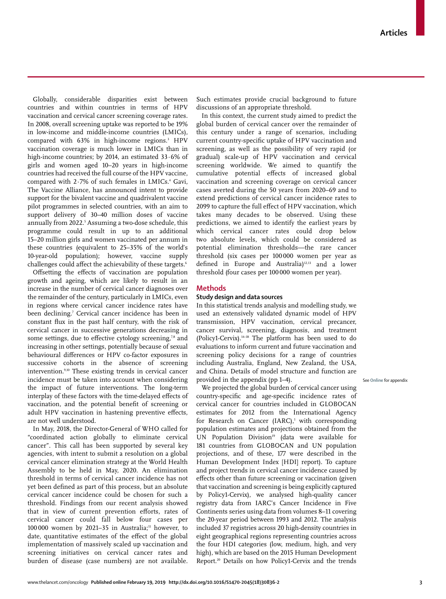Globally, considerable disparities exist between countries and within countries in terms of HPV vaccination and cervical cancer screening coverage rates. In 2008, overall screening uptake was reported to be 19% in low-income and middle-income countries (LMICs), compared with 63% in high-income regions.3 HPV vaccination coverage is much lower in LMICs than in high-income countries; by 2014, an estimated 33·6% of girls and women aged 10–20 years in high-income countries had received the full course of the HPV vaccine, compared with  $2.7\%$  of such females in LMICs. $^4$  Gavi, The Vaccine Alliance, has announced intent to provide support for the bivalent vaccine and quadrivalent vaccine pilot programmes in selected countries, with an aim to support delivery of 30–40 million doses of vaccine annually from 2022.5 Assuming a two-dose schedule, this programme could result in up to an additional 15–20 million girls and women vaccinated per annum in these countries (equivalent to 25–35% of the world's 10-year-old population); however, vaccine supply challenges could affect the achievability of these targets.<sup>6</sup>

Offsetting the effects of vaccination are population growth and ageing, which are likely to result in an increase in the number of cervical cancer diagnoses over the remainder of the century, particularly in LMICs, even in regions where cervical cancer incidence rates have been declining.7 Cervical cancer incidence has been in constant flux in the past half century, with the risk of cervical cancer in successive generations decreasing in some settings, due to effective cytology screening,78 and increasing in other settings, potentially because of sexual behavioural differences or HPV co-factor exposures in successive cohorts in the absence of screening intervention.9,10 These existing trends in cervical cancer incidence must be taken into account when considering the impact of future interventions. The long-term interplay of these factors with the time-delayed effects of vaccination, and the potential benefit of screening or adult HPV vaccination in hastening preventive effects, are not well understood.

In May, 2018, the Director-General of WHO called for "coordinated action globally to eliminate cervical cancer". This call has been supported by several key agencies, with intent to submit a resolution on a global cervical cancer elimination strategy at the World Health Assembly to be held in May, 2020. An elimination threshold in terms of cervical cancer incidence has not yet been defined as part of this process, but an absolute cervical cancer incidence could be chosen for such a threshold. Findings from our recent analysis showed that in view of current prevention efforts, rates of cervical cancer could fall below four cases per 100 000 women by 2021-35 in Australia; $n$  however, to date, quantitative estimates of the effect of the global implementation of massively scaled up vaccination and screening initiatives on cervical cancer rates and burden of disease (case numbers) are not available. Such estimates provide crucial background to future discussions of an appropriate threshold.

In this context, the current study aimed to predict the global burden of cervical cancer over the remainder of this century under a range of scenarios, including current country-specific uptake of HPV vaccination and screening, as well as the possibility of very rapid (or gradual) scale-up of HPV vaccination and cervical screening worldwide. We aimed to quantify the cumulative potential effects of increased global vaccination and screening coverage on cervical cancer cases averted during the 50 years from 2020–69 and to extend predictions of cervical cancer incidence rates to 2099 to capture the full effect of HPV vaccination, which takes many decades to be observed. Using these predictions, we aimed to identify the earliest years by which cervical cancer rates could drop below two absolute levels, which could be considered as potential elimination thresholds—the rare cancer threshold (six cases per 100 000 women per year as defined in Europe and Australia)<sup>12,13</sup> and a lower threshold (four cases per 100 000 women per year).

## **Methods**

## **Study design and data sources**

In this statistical trends analysis and modelling study, we used an extensively validated dynamic model of HPV transmission, HPV vaccination, cervical precancer, cancer survival, screening, diagnosis, and treatment (Policy1-Cervix).14–18 The platform has been used to do evaluations to inform current and future vaccination and screening policy decisions for a range of countries including Australia, England, New Zealand, the USA, and China. Details of model structure and function are provided in the appendix (pp 1–4).

We projected the global burden of cervical cancer using country-specific and age-specific incidence rates of cervical cancer for countries included in GLOBOCAN estimates for 2012 from the International Agency for Research on Cancer  $(IARC)$ ,<sup>1</sup> with corresponding population estimates and projections obtained from the UN Population Division<sup>19</sup> (data were available for 181 countries from GLOBOCAN and UN population projections, and of these, 177 were described in the Human Development Index [HDI] report). To capture and project trends in cervical cancer incidence caused by effects other than future screening or vaccination (given that vaccination and screening is being explicitly captured by Policy1-Cervix), we analysed high-quality cancer registry data from IARC's Cancer Incidence in Five Continents series using data from volumes 8–11 covering the 20-year period between 1993 and 2012. The analysis included 37 registries across 20 high-density countries in eight geographical regions representing countries across the four HDI categories (low, medium, high, and very high), which are based on the 2015 Human Development Report.20 Details on how Policy1-Cervix and the trends See **Online** for appendix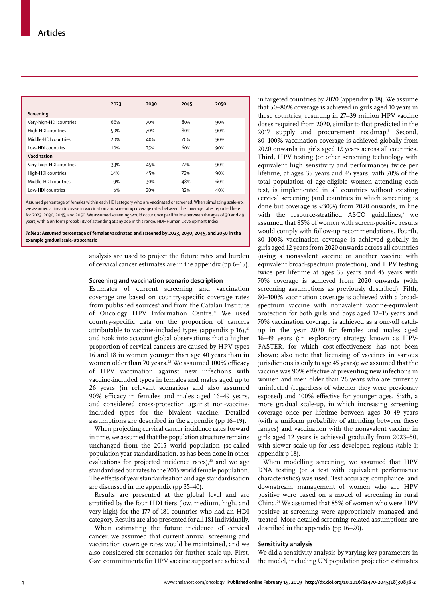|                         | 2023 | 2030 | 2045 | 2050 |
|-------------------------|------|------|------|------|
| Screening               |      |      |      |      |
| Very-high-HDI countries | 66%  | 70%  | 80%  | 90%  |
| High-HDI countries      | 50%  | 70%  | 80%  | 90%  |
| Middle-HDI countries    | 20%  | 40%  | 70%  | 90%  |
| Low-HDI countries       | 10%  | 25%  | 60%  | 90%  |
| Vaccination             |      |      |      |      |
| Very-high-HDI countries | 33%  | 45%  | 72%  | 90%  |
| High-HDI countries      | 14%  | 45%  | 72%  | 90%  |
| Middle-HDI countries    | 9%   | 30%  | 48%  | 60%  |
| Low-HDI countries       | 6%   | 20%  | 32%  | 40%  |

Assumed percentage of females within each HDI category who are vaccinated or screened. When simulating scale-up, we assumed a linear increase in vaccination and screening coverage rates between the coverage rates reported here for 2023, 2030, 2045, and 2050. We assumed screening would occur once per lifetime between the ages of 30 and 49 years, with a uniform probability of attending at any age in this range. HDI=Human Development Index.

*Table 1:* **Assumed percentage of females vaccinated and screened by 2023, 2030, 2045, and 2050 in the example gradual scale-up scenario**

> analysis are used to project the future rates and burden of cervical cancer estimates are in the appendix (pp 6–15).

## **Screening and vaccination scenario description**

Estimates of current screening and vaccination coverage are based on country-specific coverage rates from published sources<sup>4</sup> and from the Catalan Institute of Oncology HPV Information Centre.<sup>21</sup> We used country-specific data on the proportion of cancers attributable to vaccine-included types (appendix  $p$  16),<sup>21</sup> and took into account global observations that a higher proportion of cervical cancers are caused by HPV types 16 and 18 in women younger than age 40 years than in women older than 70 years.<sup>22</sup> We assumed 100% efficacy of HPV vaccination against new infections with vaccine-included types in females and males aged up to 26 years (in relevant scenarios) and also assumed 90% efficacy in females and males aged 16–49 years, and considered cross-protection against non-vaccineincluded types for the bivalent vaccine. Detailed assumptions are described in the appendix (pp 16–19).

When projecting cervical cancer incidence rates forward in time, we assumed that the population structure remains unchanged from the 2015 world population (so-called population year standardisation, as has been done in other evaluations for projected incidence rates), $23$  and we age standardised our rates to the 2015 world female population. The effects of year standardisation and age standardisation are discussed in the appendix (pp 35–40).

Results are presented at the global level and are stratified by the four HDI tiers (low, medium, high, and very high) for the 177 of 181 countries who had an HDI category. Results are also presented for all 181 individually.

When estimating the future incidence of cervical cancer, we assumed that current annual screening and vaccination coverage rates would be maintained, and we also considered six scenarios for further scale-up. First, Gavi commitments for HPV vaccine support are achieved in targeted countries by 2020 (appendix p 18). We assume that 50–80% coverage is achieved in girls aged 10 years in these countries, resulting in 27–39 million HPV vaccine doses required from 2020, similar to that predicted in the 2017 supply and procurement roadmap.<sup>5</sup> Second, 80–100% vaccination coverage is achieved globally from 2020 onwards in girls aged 12 years across all countries. Third, HPV testing (or other screening technology with equivalent high sensitivity and performance) twice per lifetime, at ages 35 years and 45 years, with 70% of the total population of age-eligible women attending each test, is implemented in all countries without existing cervical screening (and countries in which screening is done but coverage is <30%) from 2020 onwards, in line with the resource-stratified ASCO guidelines;<sup>2</sup> we assumed that 85% of women with screen-positive results would comply with follow-up recommendations. Fourth, 80–100% vaccination coverage is achieved globally in girls aged 12 years from 2020 onwards across all countries (using a nonavalent vaccine or another vaccine with equivalent broad-spectrum protection), and HPV testing twice per lifetime at ages 35 years and 45 years with 70% coverage is achieved from 2020 onwards (with screening assumptions as previously described). Fifth, 80–100% vaccination coverage is achieved with a broadspectrum vaccine with nonavalent vaccine-equivalent protection for both girls and boys aged 12–15 years and 70% vaccination coverage is achieved as a one-off catchup in the year 2020 for females and males aged 16–49 years (an exploratory strategy known as HPV-FASTER, for which cost-effectiveness has not been shown; also note that licensing of vaccines in various jurisdictions is only to age 45 years); we assumed that the vaccine was 90% effective at preventing new infections in women and men older than 26 years who are currently uninfected (regardless of whether they were previously exposed) and 100% effective for younger ages. Sixth, a more gradual scale-up, in which increasing screening coverage once per lifetime between ages 30–49 years (with a uniform probability of attending between these ranges) and vaccination with the nonavalent vaccine in girls aged 12 years is achieved gradually from 2023–50, with slower scale-up for less developed regions (table 1; appendix p 18).

When modelling screening, we assumed that HPV DNA testing (or a test with equivalent performance characteristics) was used. Test accuracy, compliance, and downstream management of women who are HPV positive were based on a model of screening in rural China.24 We assumed that 85% of women who were HPV positive at screening were appropriately managed and treated. More detailed screening-related assumptions are described in the appendix (pp 16–20).

## **Sensitivity analysis**

We did a sensitivity analysis by varying key parameters in the model, including UN population projection estimates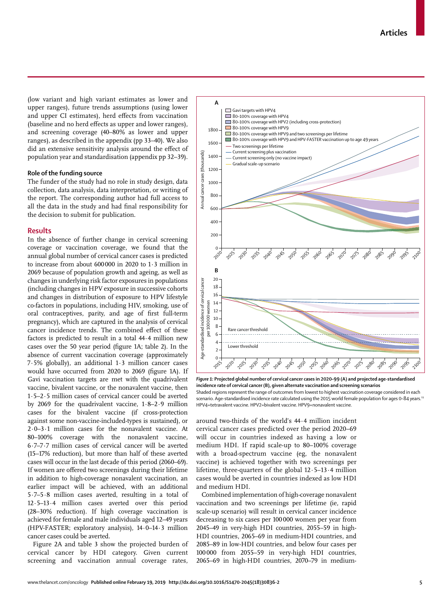(low variant and high variant estimates as lower and upper ranges), future trends assumptions (using lower and upper CI estimates), herd effects from vaccination (baseline and no herd effects as upper and lower ranges), and screening coverage (40–80% as lower and upper ranges), as described in the appendix (pp 33–40). We also did an extensive sensitivity analysis around the effect of population year and standardisation (appendix pp 32–39).

## **Role of the funding source**

The funder of the study had no role in study design, data collection, data analysis, data interpretation, or writing of the report. The corresponding author had full access to all the data in the study and had final responsibility for the decision to submit for publication.

## **Results**

In the absence of further change in cervical screening coverage or vaccination coverage, we found that the annual global number of cervical cancer cases is predicted to increase from about 600000 in 2020 to 1·3 million in 2069 because of population growth and ageing, as well as changes in underlying risk factor exposures in populations (including changes in HPV exposure in successive cohorts and changes in distribution of exposure to HPV lifestyle co-factors in populations, including HIV, smoking, use of oral contraceptives, parity, and age of first full-term pregnancy), which are captured in the analysis of cervical cancer incidence trends. The combined effect of these factors is predicted to result in a total 44·4 million new cases over the 50 year period (figure 1A; table 2). In the absence of current vaccination coverage (approximately 7·5% globally), an additional 1·3 million cancer cases would have occurred from 2020 to 2069 (figure 1A). If Gavi vaccination targets are met with the quadrivalent vaccine, bivalent vaccine, or the nonavalent vaccine, then 1·5–2·5 million cases of cervical cancer could be averted by 2069 for the quadrivalent vaccine, 1·8–2·9 million cases for the bivalent vaccine (if cross-protection against some non-vaccine-included-types is sustained), or 2·0–3·1 million cases for the nonavalent vaccine. At 80–100% coverage with the nonavalent vaccine, 6·7–7·7 million cases of cervical cancer will be averted (15–17% reduction), but more than half of these averted cases will occur in the last decade of this period (2060–69). If women are offered two screenings during their lifetime in addition to high-coverage nonavalent vaccination, an earlier impact will be achieved, with an additional 5·7–5·8 million cases averted, resulting in a total of 12·5–13·4 million cases averted over this period (28–30% reduction). If high coverage vaccination is achieved for female and male individuals aged 12–49 years (HPV-FASTER; exploratory analysis), 14·0–14·3 million cancer cases could be averted.

Figure 2A and table 3 show the projected burden of cervical cancer by HDI category. Given current screening and vaccination annual coverage rates,



*Figure 1:* **Projected global number of cervical cancer cases in 2020–99 (A) and projected age-standardised**  Year **incidence rate of cervical cancer (B), given alternate vaccination and screening scenarios** Shaded regions represent the range of outcomes from lowest to highest vaccination coverage considered in each scenario. Age-standardised incidence rate calculated using the 2015 world female population for ages 0–84 years.<sup>19</sup> HPV4=tetravalent vaccine. HPV2=bivalent vaccine. HPV9=nonavalent vaccine.

around two-thirds of the world's 44·4 million incident cervical cancer cases predicted over the period 2020–69 will occur in countries indexed as having a low or medium HDI. If rapid scale-up to 80–100% coverage with a broad-spectrum vaccine (eg, the nonavalent vaccine) is achieved together with two screenings per lifetime, three-quarters of the global 12·5–13·4 million cases would be averted in countries indexed as low HDI and medium HDI.

Combined implementation of high-coverage nonavalent vaccination and two screenings per lifetime (ie, rapid scale-up scenario) will result in cervical cancer incidence decreasing to six cases per 100000 women per year from 2045–49 in very-high HDI countries, 2055–59 in high-HDI countries, 2065–69 in medium-HDI countries, and 2085–89 in low-HDI countries, and below four cases per 100000 from 2055–59 in very-high HDI countries, 2065–69 in high-HDI countries, 2070–79 in medium-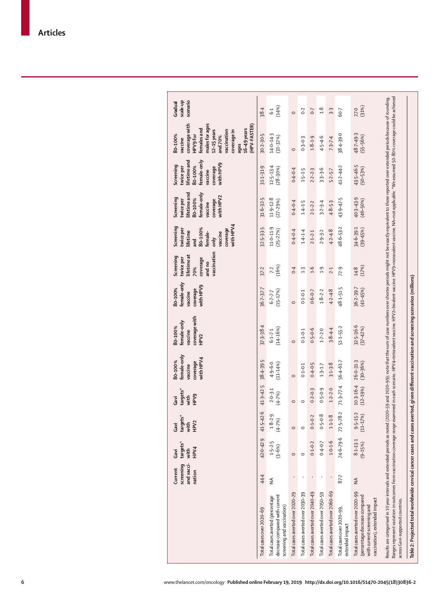| Total cases over 2020-69                                                                                                         | screening<br>and vacci-<br>Current<br>nation<br>44.4 | 42.0-42.9<br>$t$ argets $^*$<br>HPV4<br>with<br>Gavi | $-42.6$<br>$t$ ar gets $*$<br>HPV <sub>2</sub><br>with<br>Gavi<br>41.5 | 41.3-42.5<br>$t$ argets $^*$<br>HPV9<br>with<br>Gavi | female-only<br>coverage<br>with HPV4<br>38.4-39.5<br>80-100%<br>vaccine | coverage with<br>HPV2<br>female-only<br>$37.3 - 38.4$<br>80-100%<br>vaccine | female-only<br>coverage<br>with HPV9<br>80-100%<br>$36 - 7 - 37 - 7$<br>vaccine | vaccination<br>lifetime at<br>Screening<br>coverage<br>twice per<br>and no<br>70%<br>37.2 | coverage<br>with HPV4<br>Screening<br>32-5-33-5<br>80-100%<br>twice per<br>lifetime<br>female-<br>vaccine<br>$\frac{1}{6}$<br>and | lifetimeand<br>female-only<br>coverage<br>with HPV2<br>Screening<br>$31.6 - 32.5$<br>80-100%<br>twice per<br>vaccine | lifetime and<br>female-only<br>with HPV9<br>Screening<br>80-100%<br>coverage<br>$31.1 - 31.9$<br>twice per<br>vaccine | coverage with<br>males for ages<br>(HPV-FASTER)<br>females and<br>16-49 years<br>12-15 years<br>vaccination<br>coveragein<br>$30.2 - 30.5$<br>80-100%<br>HPV9for<br>and 70%<br>vaccine<br>ages | scenario<br>scale-up<br>Gradual<br>38.4 |
|----------------------------------------------------------------------------------------------------------------------------------|------------------------------------------------------|------------------------------------------------------|------------------------------------------------------------------------|------------------------------------------------------|-------------------------------------------------------------------------|-----------------------------------------------------------------------------|---------------------------------------------------------------------------------|-------------------------------------------------------------------------------------------|-----------------------------------------------------------------------------------------------------------------------------------|----------------------------------------------------------------------------------------------------------------------|-----------------------------------------------------------------------------------------------------------------------|------------------------------------------------------------------------------------------------------------------------------------------------------------------------------------------------|-----------------------------------------|
| Total cases averted (percentage                                                                                                  | ≨                                                    | $1.5 - 2.5$                                          | $1.8 - 2.9$                                                            | $2.0 - 3.1$                                          | $4.9 - 6.0$<br>$(11 - 14\%)$                                            | $6.1 - 7.1$                                                                 | $6 - 7 - 7$                                                                     | 7.2                                                                                       | 11.0-11.9                                                                                                                         | $11.9 - 12.8$                                                                                                        | $12 - 5 - 13 - 4$                                                                                                     | 14.0-14.3                                                                                                                                                                                      | 61                                      |
| decrease compared with current<br>screening and vaccination)                                                                     |                                                      | $(3 - 6\%)$                                          | $(4 - 7%)$                                                             | $(4 - 7%)$                                           |                                                                         | $(14 - 16%)$                                                                | $(15 - 17%)$                                                                    | (16%)                                                                                     | $(25 - 27%)$                                                                                                                      | $(27 - 29%)$                                                                                                         | $(28 - 30\%)$                                                                                                         | $(31 - 32%)$                                                                                                                                                                                   | (14% )                                  |
| Total cases averted over 2020-29                                                                                                 | и.                                                   | $\circ$                                              | $\circ$                                                                | $\circ$                                              | $\circ$                                                                 | $\circ$                                                                     | $\circ$                                                                         | 0.4                                                                                       | $0 - 4 - 0.4$                                                                                                                     | $0 - 4 - 0.4$                                                                                                        | $0 - 4 - 0 - 4$                                                                                                       | $\circ$                                                                                                                                                                                        | $\circ$                                 |
| Total cases averted over 2030-39                                                                                                 |                                                      | $\circ$                                              | $\circ$                                                                | $\circ$                                              | $0.1 - 0.1$                                                             | $0.1 - 0.1$                                                                 | $0.1 - 0.1$                                                                     | $\ddot{1}$                                                                                | $1.4 - 1.4$                                                                                                                       | $1.4 - 1.5$                                                                                                          | $1 - 5 - 1 - 5$                                                                                                       | $0.3 - 0.3$                                                                                                                                                                                    | 0.2                                     |
| Total cases averted over 2040-49                                                                                                 | ÷                                                    | $0.1 - 0.2$                                          | $0.1 - 0.2$                                                            | $0.2 - 0.3$                                          | $0.4 - 0.5$                                                             | $0 - 5 - 0.6$                                                               | $0 - 6 - 0.7$                                                                   | 1.6                                                                                       | $2.1 - 2.1$                                                                                                                       | $2.1 - 2.2$                                                                                                          | $2.2 - 2.3$                                                                                                           | $1.8 - 1.9$                                                                                                                                                                                    | 0.7                                     |
| Total cases averted over 2050-59                                                                                                 | ÷                                                    | $0.4 - 0.7$                                          | $0.5 - 0.8$                                                            | $0.5 - 0.9$                                          | $1.3 - 1.7$                                                             | $1 - 7 - 2 - 0$                                                             | $1.8 - 2.2$                                                                     | $\ddot{5}$                                                                                | $2.9 - 3.2$                                                                                                                       | $3 - 3 - 4$                                                                                                          | $3.3 - 3.6$                                                                                                           | $4 - 5 - 4.6$                                                                                                                                                                                  | 2.8                                     |
| Total cases averted over 2060-69                                                                                                 | $\ddot{\phantom{a}}$                                 | $1.0 - 1.6$                                          | $1.1 - 1.8$                                                            | $1.2 - 2.0$                                          | $3.1 - 3.8$                                                             | $3.8 - 4.4$                                                                 | $4.2 - 4.8$                                                                     | 2.1                                                                                       | $4.2 - 4.8$                                                                                                                       | $4.8 - 5.3$                                                                                                          | $5.2 - 5.7$                                                                                                           | $7 - 3 - 7 - 4$                                                                                                                                                                                | 3.3                                     |
| Total cases over 2020-99<br>extended impact                                                                                      | 87.7                                                 | 74-6-79-6                                            | $-78.2$<br>72.5                                                        | $71.3 - 77.4$                                        | 56-4-61-7                                                               | $51.1 - 55.2$                                                               | 48.1-51.5                                                                       | 72.9                                                                                      | 48.6-53.2                                                                                                                         | 43.9-47.5                                                                                                            | 41.2-44.2                                                                                                             | $38.4 - 39.0$                                                                                                                                                                                  | 60.7                                    |
| Total cases averted over 2020-99<br>(percentage decrease compared<br>vaccination), extended impact<br>with current screening and | ₹                                                    | $8 - 13 - 13$<br>$(9 - 15%)$                         | $9 - 5 - 15 - 2$<br>$(11 - 17%)$                                       | $10-3 - 16-4$<br>$(12 - 19%)$                        | 26.0-31.3<br>(30-36%)                                                   | $32.5 - 36.6$<br>(37-42%)                                                   | 36.2-39.7<br>$(41 - 45%)$                                                       | $14.8$<br>(17%)                                                                           | 34-6-39-1<br>(39-45%)                                                                                                             | 40-3-43-9<br>(46-50%)                                                                                                | 43-5-46-5<br>(50-53%)                                                                                                 | 48-7-49-3<br>$(55 - 56%)$                                                                                                                                                                      | (31%)<br>27.0                           |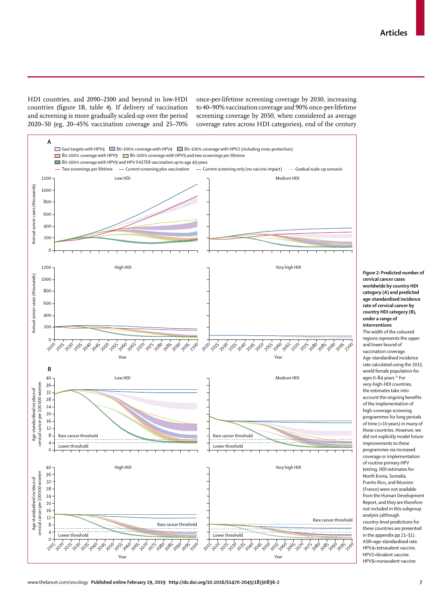HDI countries, and 2090–2100 and beyond in low-HDI countries (figure 1B, table 4). If delivery of vaccination and screening is more gradually scaled-up over the period 2020–50 (eg, 20–45% vaccination coverage and 25–70% once-per-lifetime screening coverage by 2030, increasing to 40–90% vaccination coverage and 90% once-per-lifetime screening coverage by 2050, when considered as average coverage rates across HDI categories), end of the century



*Figure 2:* **Predicted number of cervical cancer cases worldwide by country HDI category (A) and predicted age-standardised incidence rate of cervical cancer by country HDI category (B), under a range of interventions** The width of the coloured regions represents the upper and lower bound of vaccination coverage. Age-standardised incidence rate calculated using the 2015 world female population for ages 0-84 years.<sup>19</sup> For very-high-HDI countries, the estimates take into account the ongoing benefits of the implementation of high-coverage screening programmes for long periods of time (>10 years) in many of these countries. However, we did not explicitly model future improvements to these programmes via increased coverage or implementation of routine primary HPV testing. HDI estimates for North Korea, Somalia, Puerto Rico, and Réunion (France) were not available from the Human Development Report, and they are therefore not included in this subgroup analysis (although country-level predictions for these countries are presented in the appendix pp 21–31). ASR=age-standardised rate. HPV4=tetravalent vaccine. HPV2=bivalent vaccine. HPV9=nonavalent vaccine.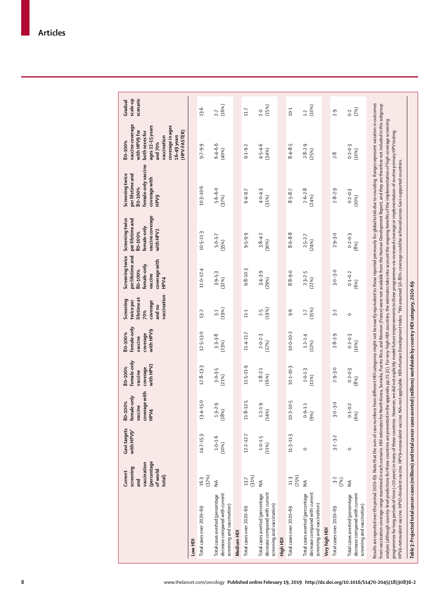|                                                                                                 | (percentage<br>vaccination<br>screening<br>ofworld<br>Current<br>total)<br>nd<br>and | Gavi targets<br>with HPV9* | coverage with<br>female-only<br>80-100%<br>vaccine<br>HPV4 | female-only<br>with HPV2<br>80-100%<br>coverage<br>vaccine | female-only<br>with HPV9<br>80-100%<br>coverage<br>vaccine | vaccination<br>lifetimeat<br>Screening<br>twice per<br>coverage<br>and no<br>70% | Screening twice<br>per lifetime and<br>coverage with<br>female-only<br>80-100%<br>vaccine<br>HPV4 | vaccine coverage<br>per lifetime and<br>Screening twice<br>female-only<br>with HPV2<br>80-100% | female-only vaccine<br>per lifetime and<br>Screening twice<br>coverage with<br>80-100%<br>HPV9 | vaccine coverage<br>coverage in ages<br>ages 12-15 years<br>with HPV9 for<br>both sexes for<br>(HPV-FASTER)<br>$16-49$ years<br>vaccination<br>80-100%<br>and 70% | scenario<br>scale-up<br>Gradual |
|-------------------------------------------------------------------------------------------------|--------------------------------------------------------------------------------------|----------------------------|------------------------------------------------------------|------------------------------------------------------------|------------------------------------------------------------|----------------------------------------------------------------------------------|---------------------------------------------------------------------------------------------------|------------------------------------------------------------------------------------------------|------------------------------------------------------------------------------------------------|-------------------------------------------------------------------------------------------------------------------------------------------------------------------|---------------------------------|
| Low HDI                                                                                         |                                                                                      |                            |                                                            |                                                            |                                                            |                                                                                  |                                                                                                   |                                                                                                |                                                                                                |                                                                                                                                                                   |                                 |
| Total cases over 2020-69                                                                        | (37%)<br>16.3                                                                        | $14 - 7 - 15 - 3$          | 13-4-15-0                                                  | $12.8 - 13.3$                                              | $12 - 5 - 13 - 0$                                          | $13 - 2$                                                                         | 11.0-12.4                                                                                         | $10 - 5 - 11 - 3$                                                                              | $10.3 - 10.6$                                                                                  | $9 - 7 - 9.9$                                                                                                                                                     | 13.6                            |
| decrease compared with current<br>Total cases averted (percentage<br>screening and vaccination) | $\lessgtr$                                                                           | $1.0 - 1.6$<br>(10%)       | $1.3 - 2.9$<br>(18%)                                       | $3.0 - 3.5$<br>(21%)                                       | $3 - 3 - 3.8$<br>(23%)                                     | (19%)<br>$\overline{3}$ :1                                                       | $3.9 - 5.3$<br>(32%)                                                                              | 5.0-5-7<br>(35%)                                                                               | $5.6 - 6.0$<br>(37%)                                                                           | $6.4 - 6.6$<br>(40%)                                                                                                                                              | (16%)<br>2.7                    |
| Medium HDI                                                                                      |                                                                                      |                            |                                                            |                                                            |                                                            |                                                                                  |                                                                                                   |                                                                                                |                                                                                                |                                                                                                                                                                   |                                 |
| Total cases over 2020-69                                                                        | (31%)<br>$13-7$                                                                      | $12.2 - 12.7$              | $11.8 - 12.5$                                              | 11-5-11-9                                                  | $11.4 - 11.7$                                              | 11.1                                                                             | $9.8 - 10.3$                                                                                      | $9.5 - 9.9$                                                                                    | $9.4 - 9.7$                                                                                    | $9 - 1 - 9 - 2$                                                                                                                                                   | $11-7$                          |
| decrease compared with current<br>Total cases averted (percentage<br>screening and vaccination) | ≨                                                                                    | $1.0 - 1.5$<br>(11%)       | $1.2 - 1.9$<br>(14%)                                       | $1.8 - 2.1$<br>(16%)                                       | $2.0 - 2.3$<br>(17%)                                       | (19%)<br>2.5                                                                     | $3.4-3.9$<br>(29%)                                                                                | $3.8 - 4.2$<br>(30%)                                                                           | $4.0 - 4.3$<br>(31%)                                                                           | $4 - 5 - 4.6$<br>(34%                                                                                                                                             | (15%)<br>$2-0$                  |
| High HDI                                                                                        |                                                                                      |                            |                                                            |                                                            |                                                            |                                                                                  |                                                                                                   |                                                                                                |                                                                                                |                                                                                                                                                                   |                                 |
| Total cases over 2020-69                                                                        | (25%)<br>11.3                                                                        | 11.3-11.3                  | $10.2 - 10.5$                                              | $10-1-10-3$                                                | $10-0-10-2$                                                | 9.6                                                                              | $8.8 - 9.0$                                                                                       | $8 - 6 - 8.8$                                                                                  | $8 - 5 - 8 - 7$                                                                                | $8.4 - 8.5$                                                                                                                                                       | $10-1$                          |
| decrease compared with current<br>Total cases averted (percentage<br>screening and vaccination) | $\lessgtr$                                                                           | $\circ$                    | $0.9 - 1.1$<br>(9%)                                        | $1.0 - 1.3$<br>(11%)                                       | $1.2 - 1.4$<br>(12%)                                       | (15%)<br>$\ddot{1}$                                                              | $2.3 - 2.5$<br>(22%)                                                                              | $2.5 - 2.7$<br>(24%)                                                                           | $2.6 - 2.8$<br>(24%)                                                                           | $2.8 - 2.9$<br>(25%)                                                                                                                                              | (10%)<br>1.2                    |
| Very high HDI                                                                                   |                                                                                      |                            |                                                            |                                                            |                                                            |                                                                                  |                                                                                                   |                                                                                                |                                                                                                |                                                                                                                                                                   |                                 |
| Total cases over 2020-69                                                                        | $3-2$<br>(7%)                                                                        | $3.2 - 3.2$                | $3 - 0 - 3 - 0$                                            | $2.9 - 3.0$                                                | $2.8 - 2.9$                                                | $3-2$                                                                            | $3 - 0 - 3 = 0$                                                                                   | $2.9 - 3.0$                                                                                    | $2.8 - 2.9$                                                                                    | 2.8                                                                                                                                                               | 2.9                             |
| decrease compared with current<br>Total cases averted (percentage<br>screening and vaccination) | $\frac{1}{2}$                                                                        | $\circ$                    | $0.1 - 0.2$<br>(6%)                                        | $0.2 - 0.3$<br>(8%)                                        | $0.2 - 0.3$<br>(10%)                                       | $\circ$                                                                          | $0.1 - 0.2$<br>(6%)                                                                               | $0.2 - 0.3$<br>$(8%)$                                                                          | $0.2 - 0.3$<br>(10%)                                                                           | $0 - 2 - 0.3$<br>(10%)                                                                                                                                            | (7%)<br>0.2                     |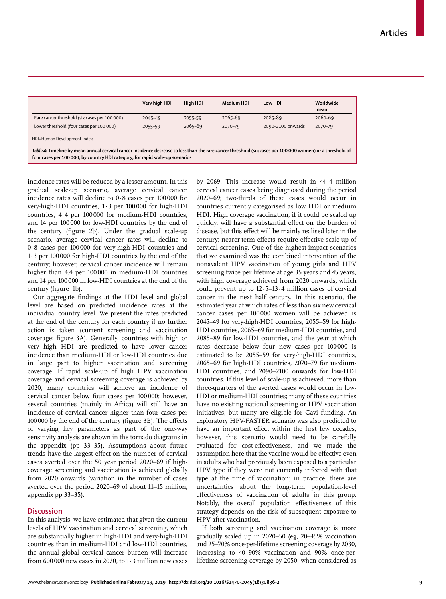|                                                                                                                                                                                                                                             | Very high HDI | High HDI | Medium HDI | Low HDI           | Worldwide<br>mean |
|---------------------------------------------------------------------------------------------------------------------------------------------------------------------------------------------------------------------------------------------|---------------|----------|------------|-------------------|-------------------|
| Rare cancer threshold (six cases per 100 000)                                                                                                                                                                                               | 2045-49       | 2055-59  | 2065-69    | 2085-89           | 2060-69           |
| Lower threshold (four cases per 100 000)                                                                                                                                                                                                    | 2055-59       | 2065-69  | 2070-79    | 2090-2100 onwards | 2070-79           |
| HDI=Human Development Index.                                                                                                                                                                                                                |               |          |            |                   |                   |
| Table 4: Timeline by mean annual cervical cancer incidence decrease to less than the rare cancer threshold (six cases per 100 000 women) or a threshold of<br>four cases per 100 000, by country HDI category, for rapid scale-up scenarios |               |          |            |                   |                   |

incidence rates will be reduced by a lesser amount. In this gradual scale-up scenario, average cervical cancer incidence rates will decline to 0·8 cases per 100000 for very-high-HDI countries, 1·3 per 100000 for high-HDI countries, 4·4 per 100000 for medium-HDI countries, and 14 per 100000 for low-HDI countries by the end of the century (figure 2b). Under the gradual scale-up scenario, average cervical cancer rates will decline to 0·8 cases per 100000 for very-high-HDI countries and 1·3 per 100000 for high-HDI countries by the end of the century; however, cervical cancer incidence will remain higher than 4.4 per 100000 in medium-HDI countries and 14 per 100000 in low-HDI countries at the end of the century (figure 1b).

Our aggregate findings at the HDI level and global level are based on predicted incidence rates at the individual country level. We present the rates predicted at the end of the century for each country if no further action is taken (current screening and vaccination coverage; figure 3A). Generally, countries with high or very high HDI are predicted to have lower cancer incidence than medium-HDI or low-HDI countries due in large part to higher vaccination and screening coverage. If rapid scale-up of high HPV vaccination coverage and cervical screening coverage is achieved by 2020, many countries will achieve an incidence of cervical cancer below four cases per 100 000; however, several countries (mainly in Africa) will still have an incidence of cervical cancer higher than four cases per 100000 by the end of the century (figure 3B). The effects of varying key parameters as part of the one-way sensitivity analysis are shown in the tornado diagrams in the appendix (pp 33–35). Assumptions about future trends have the largest effect on the number of cervical cases averted over the 50 year period 2020–69 if highcoverage screening and vaccination is achieved globally from 2020 onwards (variation in the number of cases averted over the period 2020–69 of about 11–15 million; appendix pp 33–35).

## **Discussion**

In this analysis, we have estimated that given the current levels of HPV vaccination and cervical screening, which are substantially higher in high-HDI and very-high-HDI countries than in medium-HDI and low-HDI countries, the annual global cervical cancer burden will increase from  $600000$  new cases in 2020, to  $1.3$  million new cases by 2069. This increase would result in 44·4 million cervical cancer cases being diagnosed during the period 2020–69; two-thirds of these cases would occur in countries currently categorised as low HDI or medium HDI. High coverage vaccination, if it could be scaled up quickly, will have a substantial effect on the burden of disease, but this effect will be mainly realised later in the century; nearer-term effects require effective scale-up of cervical screening. One of the highest-impact scenarios that we examined was the combined intervention of the nonavalent HPV vaccination of young girls and HPV screening twice per lifetime at age 35 years and 45 years, with high coverage achieved from 2020 onwards, which could prevent up to  $12.5-13.4$  million cases of cervical cancer in the next half century. In this scenario, the estimated year at which rates of less than six new cervical cancer cases per 100000 women will be achieved is 2045–49 for very-high-HDI countries, 2055–59 for high-HDI countries, 2065–69 for medium-HDI countries, and 2085–89 for low-HDI countries, and the year at which rates decrease below four new cases per 100000 is estimated to be 2055–59 for very-high-HDI countries, 2065–69 for high-HDI countries, 2070–79 for medium-HDI countries, and 2090–2100 onwards for low-HDI countries. If this level of scale-up is achieved, more than three-quarters of the averted cases would occur in low-HDI or medium-HDI countries; many of these countries have no existing national screening or HPV vaccination initiatives, but many are eligible for Gavi funding. An exploratory HPV-FASTER scenario was also predicted to have an important effect within the first few decades; however, this scenario would need to be carefully evaluated for cost-effectiveness, and we made the assumption here that the vaccine would be effective even in adults who had previously been exposed to a particular HPV type if they were not currently infected with that type at the time of vaccination; in practice, there are uncertainties about the long-term population-level effectiveness of vaccination of adults in this group. Notably, the overall population effectiveness of this strategy depends on the risk of subsequent exposure to HPV after vaccination.

If both screening and vaccination coverage is more gradually scaled up in 2020–50 (eg, 20–45% vaccination and 25–70% once-per-lifetime screening coverage by 2030, increasing to 40–90% vaccination and 90% once-perlifetime screening coverage by 2050, when considered as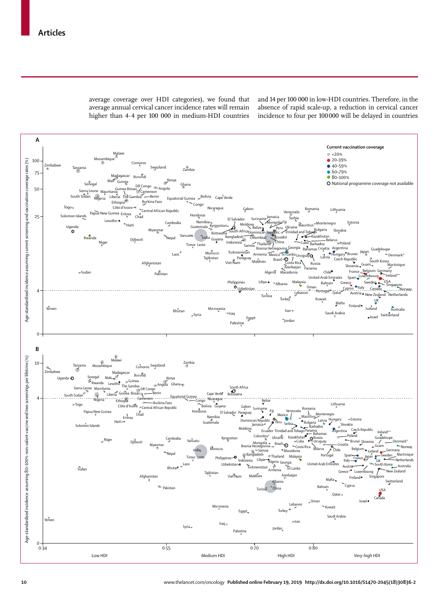average coverage over HDI categories), we found that average annual cervical cancer incidence rates will remain higher than 4·4 per 100 000 in medium-HDI countries and 14 per 100 000 in low-HDI countries. Therefore, in the absence of rapid scale-up, a reduction in cervical cancer incidence to four per 100000 will be delayed in countries

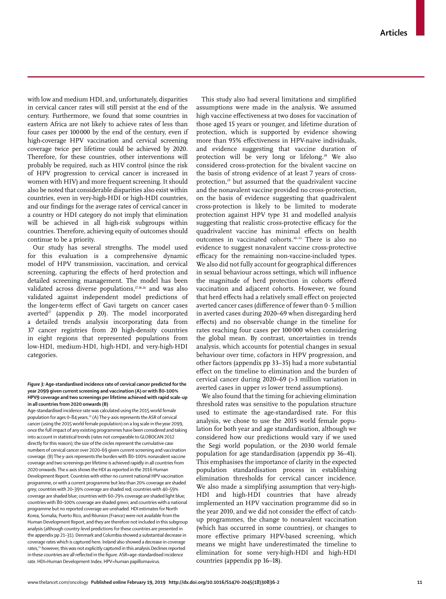with low and medium HDI, and, unfortunately, disparities in cervical cancer rates will still persist at the end of the century. Furthermore, we found that some countries in eastern Africa are not likely to achieve rates of less than four cases per 100000 by the end of the century, even if high-coverage HPV vaccination and cervical screening coverage twice per lifetime could be achieved by 2020. Therefore, for these countries, other interventions will probably be required, such as HIV control (since the risk of HPV progression to cervical cancer is increased in women with HIV) and more frequent screening. It should also be noted that considerable disparities also exist within countries, even in very-high-HDI or high-HDI countries, and our findings for the average rates of cervical cancer in a country or HDI category do not imply that elimination will be achieved in all high-risk subgroups within countries. Therefore, achieving equity of outcomes should continue to be a priority.

Our study has several strengths. The model used for this evaluation is a comprehensive dynamic model of HPV transmission, vaccination, and cervical screening, capturing the effects of herd protection and detailed screening management. The model has been validated across diverse populations,<sup>17,18,26</sup> and was also validated against independent model predictions of the longer-term effect of Gavi targets on cancer cases averted $27$  (appendix p 20). The model incorporated a detailed trends analysis incorporating data from 37 cancer registries from 20 high-density countries in eight regions that represented populations from low-HDI, medium-HDI, high-HDI, and very-high-HDI categories.

#### *Figure 3:* **Age-standardised incidence rate of cervical cancer predicted for the year 2099 given current screening and vaccination (A) or with 80–100% HPV9 coverage and two screenings per lifetime achieved with rapid scale-up in all countries from 2020 onwards (B)**

Age-standardised incidence rate was calculated using the 2015 world female population for ages 0–84 years.<sup>19</sup> (A) The y-axis represents the ASR of cervical cancer (using the 2015 world female population) on a log scale in the year 2099, once the full impact of any existing programmes have been considered and taking into account in statistical trends (rates not comparable to GLOBOCAN 2012 directly for this reason); the size of the circles represent the cumulative case numbers of cervical cancer over 2020–69 given current screening and vaccination coverage. (B) The y-axis represents the burden with 80–100% nonavalent vaccine coverage and two screenings per lifetime is achieved rapidly in all countries from 2020 onwards. The x-axis shows the HDI as reported in the 2016 Human Development Report. Countries with either no current national HPV vaccination programme, or with a current programme but less than 20% coverage are shaded grey; countries with 20–39% coverage are shaded red; countries with 40–59% coverage are shaded blue; countries with 60–79% coverage are shaded light blue; countries with 80–100% coverage are shaded green; and countries with a national programme but no reported coverage are unshaded. HDI estimates for North Korea, Somalia, Puerto Rico, and Réunion (France) were not available from the Human Development Report, and they are therefore not included in this subgroup analysis (although country-level predictions for these countries are presented in the appendix pp 21–31). Denmark and Columbia showed a substantial decrease in coverage rates which is captured here. Ireland also showed a decrease in coverage rates,<sup>25</sup> however, this was not explicitly captured in this analysis.Declines reported in these countries are all reflected in the figure. ASR=age-standardised incidence rate. HDI=Human Development Index. HPV=human papillomavirus.

This study also had several limitations and simplified assumptions were made in the analysis. We assumed high vaccine effectiveness at two doses for vaccination of those aged 15 years or younger, and lifetime duration of protection, which is supported by evidence showing more than 95% effectiveness in HPV-naive individuals, and evidence suggesting that vaccine duration of protection will be very long or lifelong.<sup>28</sup> We also considered cross-protection for the bivalent vaccine on the basis of strong evidence of at least 7 years of crossprotection,<sup>29</sup> but assumed that the quadrivalent vaccine and the nonavalent vaccine provided no cross-protection, on the basis of evidence suggesting that quadrivalent cross-protection is likely to be limited to moderate protection against HPV type 31 and modelled analysis suggesting that realistic cross-protective efficacy for the quadrivalent vaccine has minimal effects on health outcomes in vaccinated cohorts.30–33 There is also no evidence to suggest nonavalent vaccine cross-protective efficacy for the remaining non-vaccine-included types. We also did not fully account for geographical differences in sexual behaviour across settings, which will influence the magnitude of herd protection in cohorts offered vaccination and adjacent cohorts. However, we found that herd effects had a relatively small effect on projected averted cancer cases (difference of fewer than 0·5 million in averted cases during 2020–69 when disregarding herd effects) and no observable change in the timeline for rates reaching four cases per 100 000 when considering the global mean. By contrast, uncertainties in trends analysis, which accounts for potential changes in sexual behaviour over time, cofactors in HPV progression, and other factors (appendix pp 33–35) had a more substantial effect on the timeline to elimination and the burden of cervical cancer during 2020–69 (>3 million variation in averted cases in upper *vs* lower trend assumptions).

We also found that the timing for achieving elimination threshold rates was sensitive to the population structure used to estimate the age-standardised rate. For this analysis, we chose to use the 2015 world female population for both year and age standardisation, although we considered how our predictions would vary if we used the Segi world population, or the 2030 world female population for age standardisation (appendix pp 36–41). This emphasises the importance of clarity in the expected population standardisation process in establishing elimination thresholds for cervical cancer incidence. We also made a simplifying assumption that very-high-HDI and high-HDI countries that have already implemented an HPV vaccination programme did so in the year 2010, and we did not consider the effect of catchup programmes, the change to nonavalent vaccination (which has occurred in some countries), or changes to more effective primary HPV-based screening, which means we might have underestimated the timeline to elimination for some very-high-HDI and high-HDI countries (appendix pp 16–18).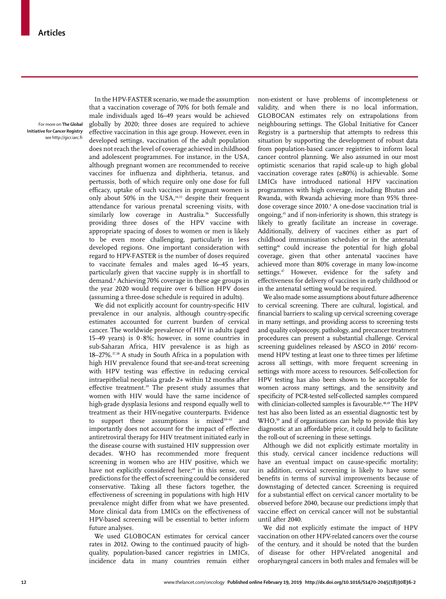For more on **The Global Initiative for Cancer Registry**  see http://gicr.iarc.fr

In the HPV-FASTER scenario, we made the assumption that a vaccination coverage of 70% for both female and male individuals aged 16–49 years would be achieved globally by 2020; three doses are required to achieve effective vaccination in this age group. However, even in developed settings, vaccination of the adult population does not reach the level of coverage achieved in childhood and adolescent programmes. For instance, in the USA, although pregnant women are recommended to receive vaccines for influenza and diphtheria, tetanus, and pertussis, both of which require only one dose for full efficacy, uptake of such vaccines in pregnant women is only about 50% in the USA,<sup>34,35</sup> despite their frequent attendance for various prenatal screening visits, with similarly low coverage in Australia.<sup>36</sup> Successfully providing three doses of the HPV vaccine with appropriate spacing of doses to women or men is likely to be even more challenging, particularly in less developed regions. One important consideration with regard to HPV-FASTER is the number of doses required to vaccinate females and males aged 16–45 years, particularly given that vaccine supply is in shortfall to demand.6 Achieving 70% coverage in these age groups in the year 2020 would require over 6 billion HPV doses (assuming a three-dose schedule is required in adults).

We did not explicitly account for country-specific HIV prevalence in our analysis, although country-specific estimates accounted for current burden of cervical cancer. The worldwide prevalence of HIV in adults (aged 15–49 years) is 0·8%; however, in some countries in sub-Saharan Africa, HIV prevalence is as high as 18–27%.37,38 A study in South Africa in a population with high HIV prevalence found that see-and-treat screening with HPV testing was effective in reducing cervical intraepithelial neoplasia grade 2+ within 12 months after effective treatment.<sup>39</sup> The present study assumes that women with HIV would have the same incidence of high-grade dysplasia lesions and respond equally well to treatment as their HIV-negative counterparts. Evidence to support these assumptions is mixed<sup>39-43</sup> and importantly does not account for the impact of effective antiretroviral therapy for HIV treatment initiated early in the disease course with sustained HIV suppression over decades. WHO has recommended more frequent screening in women who are HIV positive, which we have not explicitly considered here;<sup>44</sup> in this sense, our predictions for the effect of screening could be considered conservative. Taking all these factors together, the effectiveness of screening in populations with high HIV prevalence might differ from what we have presented. More clinical data from LMICs on the effectiveness of HPV-based screening will be essential to better inform future analyses.

We used GLOBOCAN estimates for cervical cancer rates in 2012. Owing to the continued paucity of highquality, population-based cancer registries in LMICs, incidence data in many countries remain either non-existent or have problems of incompleteness or validity, and when there is no local information, GLOBOCAN estimates rely on extrapolations from neighbouring settings. The Global Initiative for Cancer Registry is a partnership that attempts to redress this situation by supporting the development of robust data from population-based cancer registries to inform local cancer control planning. We also assumed in our most optimistic scenarios that rapid scale-up to high global vaccination coverage rates (≥80%) is achievable. Some LMICs have introduced national HPV vaccination programmes with high coverage, including Bhutan and Rwanda, with Rwanda achieving more than 95% threedose coverage since 2010.<sup>4</sup> A one-dose vaccination trial is ongoing,45 and if non-inferiority is shown, this strategy is likely to greatly facilitate an increase in coverage. Additionally, delivery of vaccines either as part of childhood immunisation schedules or in the antenatal setting<sup>46</sup> could increase the potential for high global coverage, given that other antenatal vaccines have achieved more than 80% coverage in many low-income settings.<sup>47</sup> However, evidence for the safety and effectiveness for delivery of vaccines in early childhood or in the antenatal setting would be required.

We also made some assumptions about future adherence to cervical screening. There are cultural, logistical, and financial barriers to scaling up cervical screening coverage in many settings, and providing access to screening tests and quality colposcopy, pathology, and precancer treatment procedures can present a substantial challenge. Cervical screening guidelines released by ASCO in 2016<sup>2</sup> recommend HPV testing at least one to three times per lifetime across all settings, with more frequent screening in settings with more access to resources. Self-collection for HPV testing has also been shown to be acceptable for women across many settings, and the sensitivity and specificity of PCR-tested self-collected samples compared with clinician-collected samples is favourable.<sup>48,49</sup> The HPV test has also been listed as an essential diagnostic test by WHO,<sup>50</sup> and if organisations can help to provide this key diagnostic at an affordable price, it could help to facilitate the roll-out of screening in these settings.

Although we did not explicitly estimate mortality in this study, cervical cancer incidence reductions will have an eventual impact on cause-specific mortality; in addition, cervical screening is likely to have some benefits in terms of survival improvements because of downstaging of detected cancer. Screening is required for a substantial effect on cervical cancer mortality to be observed before 2040, because our predictions imply that vaccine effect on cervical cancer will not be substantial until after 2040.

We did not explicitly estimate the impact of HPV vaccination on other HPV-related cancers over the course of the century, and it should be noted that the burden of disease for other HPV-related anogenital and oropharyngeal cancers in both males and females will be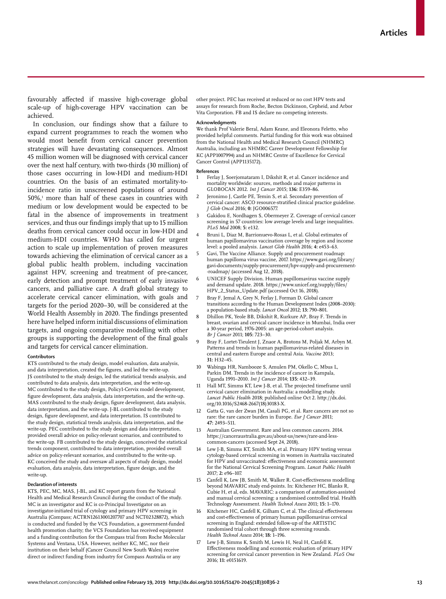favourably affected if massive high-coverage global scale-up of high-coverage HPV vaccination can be achieved.

In conclusion, our findings show that a failure to expand current programmes to reach the women who would most benefit from cervical cancer prevention strategies will have devastating consequences. Almost 45 million women will be diagnosed with cervical cancer over the next half century, with two-thirds (30 million) of those cases occurring in low-HDI and medium-HDI countries. On the basis of an estimated mortality-toincidence ratio in unscreened populations of around 50%,1 more than half of these cases in countries with medium or low development would be expected to be fatal in the absence of improvements in treatment services, and thus our findings imply that up to 15 million deaths from cervical cancer could occur in low-HDI and medium-HDI countries. WHO has called for urgent action to scale up implementation of proven measures towards achieving the elimination of cervical cancer as a global public health problem, including vaccination against HPV, screening and treatment of pre-cancer, early detection and prompt treatment of early invasive cancers, and palliative care. A draft global strategy to accelerate cervical cancer elimination, with goals and targets for the period 2020–30, will be considered at the World Health Assembly in 2020. The findings presented here have helped inform initial discussions of elimination targets, and ongoing comparative modelling with other groups is supporting the development of the final goals and targets for cervical cancer elimination.

#### **Contributors**

KTS contributed to the study design, model evaluation, data analysis, and data interpretation, created the figures, and led the write-up. JS contributed to the study design, led the statistical trends analysis, and contributed to data analysis, data interpretation, and the write-up. MC contributed to the study design, Policy1-Cervix model development, figure development, data analysis, data interpretation, and the write-up. MAS contributed to the study design, figure development, data analysis, data interpretation, and the write-up. J-BL contributed to the study design, figure development, and data interpretation. IS contributed to the study design, statistical trends analysis, data interpretation, and the write-up. PEC contributed to the study design and data interpretation, provided overall advice on policy-relevant scenarios, and contributed to the write-up. FB contributed to the study design, conceived the statistical trends component, contributed to data interpretation, provided overall advice on policy-relevant scenarios, and contributed to the write-up. KC conceived the study and oversaw all aspects of study design, model evaluation, data analysis, data interpretation, figure design, and the write-up.

## **Declaration of interests**

KTS, PEC, MC, MAS, J-BL, and KC report grants from the National Health and Medical Research Council during the conduct of the study. MC is an investigator and KC is co-Principal Investigator on an investigator-initiated trial of cytology and primary HPV screening in Australia (Compass; ACTRN12613001207707 and NCT02328872), which is conducted and funded by the VCS Foundation, a government-funded health promotion charity; the VCS Foundation has received equipment and a funding contribution for the Compass trial from Roche Molecular Systems and Ventana, USA. However, neither KC, MC, nor their institution on their behalf (Cancer Council New South Wales) receive direct or indirect funding from industry for Compass Australia or any

other project. PEC has received at reduced or no cost HPV tests and assays for research from Roche, Becton Dickinson, Cepheid, and Arbor Vita Corporation. FB and IS declare no competing interests.

#### **Acknowledgments**

We thank Prof Valerie Beral, Adam Keane, and Eleonora Feletto, who provided helpful comments. Partial funding for this work was obtained from the National Health and Medical Research Council (NHMRC) Australia, including an NHMRC Career Development Fellowship for KC (APP1007994) and an NHMRC Centre of Excellence for Cervical Cancer Control (APP1135172).

#### **References**

- 1 Ferlay J, Soerjomataram I, Dikshit R, et al. Cancer incidence and mortality worldwide: sources, methods and major patterns in GLOBOCAN 2012. *Int J Cancer* 2015; **136:** E359–86.
- Jeronimo J, Castle PE, Temin S, et al. Secondary prevention of cervical cancer: ASCO resource-stratified clinical practice guideline. *J Glob Oncol* 2016; **0:** JGO006577.
- 3 Gakidou E, Nordhagen S, Obermeyer Z. Coverage of cervical cancer screening in 57 countries: low average levels and large inequalities. *PLoS Med* 2008; **5:** e132.
- 4 Bruni L, Diaz M, Barrionuevo-Rosas L, et al. Global estimates of human papillomavirus vaccination coverage by region and income level: a pooled analysis. *Lancet Glob Health* 2016; **4:** e453–63.
- 5 Gavi, The Vaccine Alliance. Supply and procurement roadmap: human papilloma virus vaccine, 2017. https://www.gavi.org/library/ gavi-documents/supply-procurement/hpv-supply-and-procurement- -roadmap/ (accessed Aug 12, 2018).
- 6 UNICEF Supply Division. Human papillomavirus vaccine supply and demand update. 2018. https://www.unicef.org/supply/files/ HPV\_2\_Status\_Update.pdf (accessed Oct 16, 2018).
- Bray F, Jemal A, Grey N, Ferlay J, Forman D. Global cancer transitions according to the Human Development Index (2008–2030): a population-based study. *Lancet Oncol* 2012; **13:** 790–801.
- 8 Dhillon PK, Yeole BB, Dikshit R, Kurkure AP, Bray F. Trends in breast, ovarian and cervical cancer incidence in Mumbai, India over a 30-year period, 1976-2005: an age-period-cohort analysis. *Br J Cancer* 2011; **105:** 723–30.
- 9 Bray F, Lortet-Tieulent J, Znaor A, Brotons M, Poljak M, Arbyn M. Patterns and trends in human papillomavirus-related diseases in central and eastern Europe and central Asia. *Vaccine* 2013; **31:** H32–45.
- 10 Wabinga HR, Nambooze S, Amulen PM, Okello C, Mbus L, Parkin DM. Trends in the incidence of cancer in Kampala, Uganda 1991–2010. *Int J Cancer* 2014; **135:** 432–39.
- Hall MT, Simms KT, Lew J-B, et al. The projected timeframe until cervical cancer elimination in Australia: a modelling study. *Lancet Public Health* 2018; published online Oct 2. http://dx.doi. org/10.1016/S2468-2667(18)30183-X.
- 12 Gatta G, van der Zwan JM, Casali PG, et al. Rare cancers are not so rare: the rare cancer burden in Europe. *Eur J Cancer* 2011; **47:** 2493–511.
- 13 Australian Government. Rare and less common cancers. 2014. https://canceraustralia.gov.au/about-us/news/rare-and-lesscommon-cancers (accessed Sept 24, 2018).
- 14 Lew J-B, Simms KT, Smith MA, et al. Primary HPV testing versus cytology-based cervical screening in women in Australia vaccinated for HPV and unvaccinated: effectiveness and economic assessment for the National Cervical Screening Program. *Lancet Public Health* 2017; **2:** e96–107.
- 15 Canfell K, Lew JB, Smith M, Walker R. Cost-effectiveness modelling beyond MAVARIC study end-points. In: Kitchener HC, Blanks R, Cubie H, et al, eds. MAVARIC: a comparison of automation-assisted and manual cervical screening: a randomised controlled trial. Health Technology Assessment. *Health Technol Assess* 2011; **15:** 1–170.
- Kitchener HC, Canfell K, Gilham C, et al. The clinical effectiveness and cost-effectiveness of primary human papillomavirus cervical screening in England: extended follow-up of the ARTISTIC randomised trial cohort through three screening rounds. *Health Technol Assess* 2014; **18:** 1–196.
- Lew J-B, Simms K, Smith M, Lewis H, Neal H, Canfell K, Effectiveness modelling and economic evaluation of primary HPV screening for cervical cancer prevention in New Zealand. *PLoS One* 2016; **11:** e0151619.